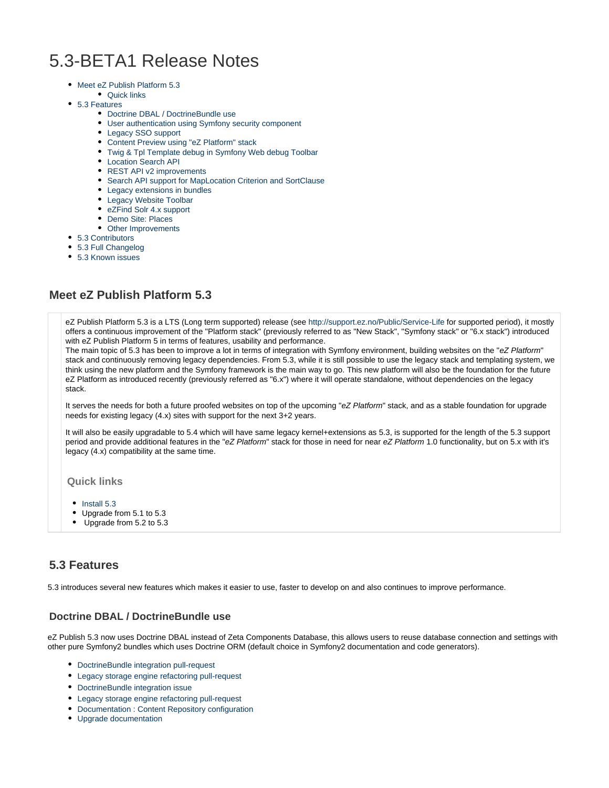# 5.3-BETA1 Release Notes

- [Meet eZ Publish Platform 5.3](#page-0-0)
- [Quick links](#page-0-1)
- [5.3 Features](#page-0-2)
	- [Doctrine DBAL / DoctrineBundle use](#page-0-3)
	- [User authentication using Symfony security component](#page-0-4)
	- [Legacy SSO support](#page-1-0)
	- [Content Preview using "eZ Platform" stack](#page-1-1)
	- [Twig & Tpl Template debug in Symfony Web debug Toolbar](#page-1-2)
	- [Location Search API](#page-1-3)
	- [REST API v2 improvements](#page-1-4)
	- [Search API support for MapLocation Criterion and SortClause](#page-1-5)
	- [Legacy extensions in bundles](#page-1-6)
	- [Legacy Website Toolbar](#page-2-0)
	- [eZFind Solr 4.x support](#page-2-1)
	- [Demo Site: Places](#page-2-2)
	- [Other Improvements](#page-2-3)
- [5.3 Contributors](#page-2-4)
- [5.3 Full Changelog](#page-2-5)
- [5.3 Known issues](#page-3-0)

## <span id="page-0-0"></span>**Meet eZ Publish Platform 5.3**

eZ Publish Platform 5.3 is a LTS (Long term supported) release (see<http://support.ez.no/Public/Service-Life> for supported period), it mostly offers a continuous improvement of the "Platform stack" (previously referred to as "New Stack", "Symfony stack" or "6.x stack") introduced with eZ Publish Platform 5 in terms of features, usability and performance.

The main topic of 5.3 has been to improve a lot in terms of integration with Symfony environment, building websites on the "eZ Platform" stack and continuously removing legacy dependencies. From 5.3, while it is still possible to use the legacy stack and templating system, we think using the new platform and the Symfony framework is the main way to go. This new platform will also be the foundation for the future eZ Platform as introduced recently (previously referred as "6.x") where it will operate standalone, without dependencies on the legacy stack.

It serves the needs for both a future proofed websites on top of the upcoming "eZ Platform" stack, and as a stable foundation for upgrade needs for existing legacy (4.x) sites with support for the next 3+2 years.

It will also be easily upgradable to 5.4 which will have same legacy kernel+extensions as 5.3, is supported for the length of the 5.3 support period and provide additional features in the "eZ Platform" stack for those in need for near eZ Platform 1.0 functionality, but on 5.x with it's legacy (4.x) compatibility at the same time.

#### <span id="page-0-1"></span>**Quick links**

- $\bullet$  [Install 5.3](https://doc.ez.no/display/EZP/Installation)
- Upgrade from 5.1 to 5.3
- [Upgrade from 5.2 to 5.3](https://doc.ez.no/display/EZP/Upgrading+from+5.2+to+5.3)

### <span id="page-0-2"></span>**5.3 Features**

5.3 introduces several new features which makes it easier to use, faster to develop on and also continues to improve performance.

#### <span id="page-0-3"></span>**Doctrine DBAL / DoctrineBundle use**

eZ Publish 5.3 now uses Doctrine DBAL instead of Zeta Components Database, this allows users to reuse database connection and settings with other pure Symfony2 bundles which uses Doctrine ORM (default choice in Symfony2 documentation and code generators).

- [DoctrineBundle integration pull-request](https://github.com/ezsystems/ezpublish-kernel/pull/736)
- [Legacy storage engine refactoring pull-request](https://github.com/ezsystems/ezpublish-kernel/pull/704)
- [DoctrineBundle integration issue](https://jira.ez.no/browse/EZP-22279)
- [Legacy storage engine refactoring pull-request](https://jira.ez.no/browse/EZP-22151)
- [Documentation : Content Repository configuration](https://doc.ez.no/display/EZP/Content+Repository+configuration)
- <span id="page-0-4"></span>[Upgrade documentation](https://github.com/ezsystems/ezpublish-kernel/blob/master/doc/upgrade/5.3.md#database-configuration)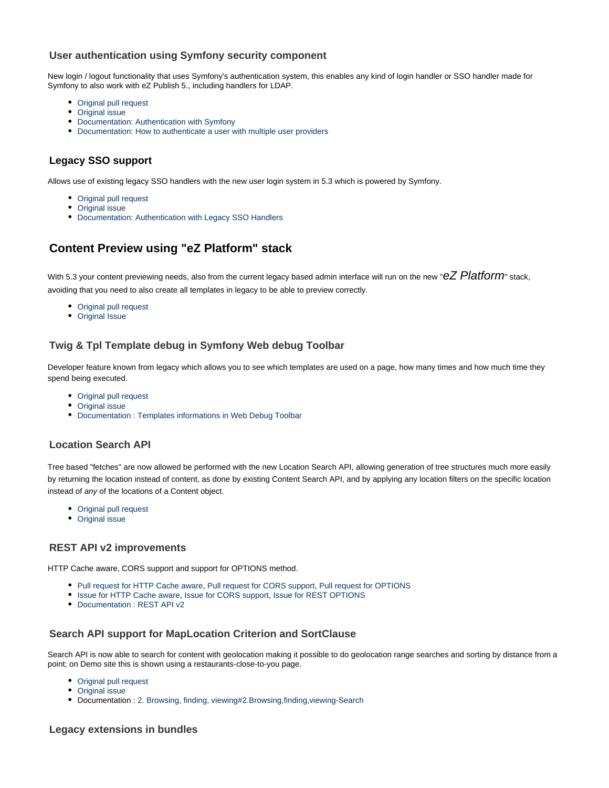### **User authentication using Symfony security component**

New login / logout functionality that uses Symfony's authentication system, this enables any kind of login handler or SSO handler made for Symfony to also work with eZ Publish 5., including handlers for LDAP.

- [Original pull request](https://github.com/ezsystems/ezpublish-kernel/pull/691)
- [Original issue](https://jira.ez.no/browse/EZP-22081)
- [Documentation: Authentication with Symfony](https://confluence.ez.no/display/EZP/Authentication)
- [Documentation: How to authenticate a user with multiple user providers](https://doc.ez.no/display/EZP/How+to+authenticate+a+user+with+multiple+user+providers)

### <span id="page-1-0"></span>**Legacy SSO support**

Allows use of existing legacy SSO handlers with the new user login system in 5.3 which is powered by Symfony.

- [Original pull request](https://github.com/ezsystems/ezpublish-kernel/pull/691)
- [Original issue](https://jira.ez.no/browse/EZP-22099)
- [Documentation: Authentication with Legacy SSO Handlers](https://doc.ez.no/display/EZP/Authentication#Authentication-AuthenticationwithLegacySSOHandlers)

# <span id="page-1-1"></span>**Content Preview using "eZ Platform" stack**

With 5.3 your content previewing needs, also from the current legacy based admin interface will run on the new " $eZ$  Platform" stack. avoiding that you need to also create all templates in legacy to be able to preview correctly.

- [Original pull request](https://github.com/ezsystems/ezpublish-kernel/pull/662)
- [Original Issue](https://jira.ez.no/browse/EZP-22051)

### <span id="page-1-2"></span>**Twig & Tpl Template debug in Symfony Web debug Toolbar**

Developer feature known from legacy which allows you to see which templates are used on a page, how many times and how much time they spend being executed.

- [Original pull request](https://github.com/ezsystems/ezpublish-kernel/pull/695)
- [Original issue](https://jira.ez.no/browse/EZP-22152)
- [Documentation : Templates informations in Web Debug Toolbar](https://doc.ez.no/eZ-Publish/User-manual/5.x/The-Website-Interface/Customization-Guide/Templates-informations-in-Web-Debug-Toolbar)

#### <span id="page-1-3"></span>**Location Search API**

Tree based "fetches" are now allowed be performed with the new Location Search API, allowing generation of tree structures much more easily by returning the location instead of content, as done by existing Content Search API, and by applying any location filters on the specific location instead of any of the locations of a Content object.

- [Original pull request](https://github.com/ezsystems/ezpublish-kernel/pull/701)
- [Original issue](https://jira.ez.no/browse/EZP-22105)

#### <span id="page-1-4"></span>**REST API v2 improvements**

HTTP Cache aware, CORS support and support for OPTIONS method.

- [Pull request for HTTP Cache aware](https://github.com/ezsystems/ezpublish-kernel/pull/659), [Pull request for CORS support,](https://github.com/ezsystems/ezpublish-kernel/pull/663) [Pull request for OPTIONS](https://github.com/ezsystems/ezpublish-kernel/pull/653)
- **.** [Issue for HTTP Cache aware](https://jira.ez.no/browse/EZP-21044), [Issue for CORS support](https://jira.ez.no/browse/EZP-21118), [Issue for REST OPTIONS](https://jira.ez.no/browse/EZP-21044)
- [Documentation : REST API v2](https://confluence.ez.no/display/EZP52/eZ+Publish+REST+API)

#### <span id="page-1-5"></span>**Search API support for MapLocation Criterion and SortClause**

Search API is now able to search for content with geolocation making it possible to do geolocation range searches and sorting by distance from a point; on Demo site this is shown using a restaurants-close-to-you page.

- [Original pull request](https://github.com/ezsystems/ezpublish-kernel/pull/678)
- [Original issue](https://jira.ez.no/browse/EZP-22103)
- Documentation : [2. Browsing, finding, viewing#2.Browsing,finding,viewing-Search](https://doc.ez.no/display/EZP/2.+Browsing%2C+finding%2C+viewing#id-2.Browsing,finding,viewing-2.Browsing,finding,viewing-Search)

#### <span id="page-1-6"></span>**Legacy extensions in bundles**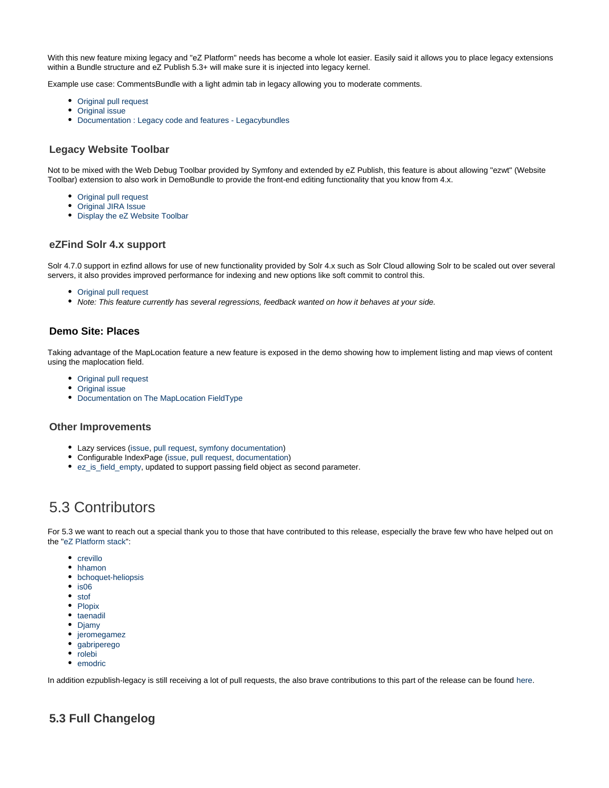With this new feature mixing legacy and "eZ Platform" needs has become a whole lot easier. Easily said it allows you to place legacy extensions within a Bundle structure and eZ Publish 5.3+ will make sure it is injected into legacy kernel.

Example use case: CommentsBundle with a light admin tab in legacy allowing you to moderate comments.

- [Original pull request](https://github.com/ezsystems/ezpublish-kernel/pull/719)
- [Original issue](https://jira.ez.no/browse/EZP-22210)
- [Documentation : Legacy code and features Legacybundles](https://doc.ez.no/display/EZP/Legacy+code+and+features#Legacycodeandfeatures-Legacybundles)

#### <span id="page-2-0"></span>**Legacy Website Toolbar**

Not to be mixed with the Web Debug Toolbar provided by Symfony and extended by eZ Publish, this feature is about allowing "ezwt" (Website Toolbar) extension to also work in DemoBundle to provide the front-end editing functionality that you know from 4.x.

- [Original pull request](https://github.com/ezsystems/ezpublish-kernel/pull/755)
- [Original JIRA Issue](https://jira.ez.no/browse/EZP-22193)
- [Display the eZ Website Toolbar](https://doc.ez.no/display/EZP/Display+the+eZ+Website+Toolbar)

#### <span id="page-2-1"></span>**eZFind Solr 4.x support**

Solr 4.7.0 support in ezfind allows for use of new functionality provided by Solr 4.x such as Solr Cloud allowing Solr to be scaled out over several servers, it also provides improved performance for indexing and new options like soft commit to control this.

- [Original pull request](https://github.com/ezsystems/ezpublish-kernel/pull/649)
- Note: This feature currently has several regressions, feedback wanted on how it behaves at your side.

#### <span id="page-2-2"></span>**Demo Site: Places**

Taking advantage of the MapLocation feature a new feature is exposed in the demo showing how to implement listing and map views of content using the maplocation field.

- [Original pull request](https://github.com/ezsystems/ezpublish-kernel/pull/678)
- [Original issue](https://jira.ez.no/browse/EZP-22091)
- [Documentation on The MapLocation FieldType](https://doc.ez.no/display/EZP/The+MapLocation+FieldType)

#### <span id="page-2-3"></span>**Other Improvements**

- Lazy services [\(issue](https://jira.ez.no/browse/EZP-22133), [pull request,](https://github.com/ezsystems/ezpublish-kernel/pull/676) [symfony documentation\)](http://symfony.com/doc/current/components/dependency_injection/lazy_services.html)
- Configurable IndexPage ([issue](https://jira.ez.no/browse/EZP-22049), [pull request](https://github.com/ezsystems/ezpublish-kernel/pull/664), [documentation](https://confluence.ez.no/display/EZP/Setting+the+Index+Page))
- [ez\\_is\\_field\\_empty,](https://doc.ez.no/display/EZP/ez_is_field_empty) updated to support passing field object as second parameter.

# <span id="page-2-4"></span>5.3 Contributors

For 5.3 we want to reach out a special thank you to those that have contributed to this release, especially the brave few who have helped out on the ["eZ Platform](https://github.com/ezsystems/ezpublish-kernel/graphs/contributors?from=2013-10-30&to=2014-04-30&type=c) [stack](https://github.com/ezsystems/ezpublish-community/graphs/contributors?from=2013-10-30&to=2014-04-30&type=c)":

- [crevillo](https://github.com/crevillo)
- [hhamon](https://github.com/hhamon)
- [bchoquet-heliopsis](https://github.com/bchoquet-heliopsis)
- $\bullet$  [is06](https://github.com/is06)
- [stof](https://github.com/stof)
- [Plopix](https://github.com/Plopix)
- [taenadil](https://github.com/taenadil)
- [Djamy](https://github.com/Djamy)
- [jeromegamez](https://github.com/jeromegamez)
- [gabriperego](https://github.com/gabriperego)
- [rolebi](https://github.com/rolebi)
- [emodric](https://github.com/emodric)

In addition ezpublish-legacy is still receiving a lot of pull requests, the also brave contributions to this part of the release can be found [here.](https://github.com/ezsystems/ezpublish-legacy/graphs/contributors?from=2013-09-30&to=2014-04-04&type=c)

### <span id="page-2-5"></span>**5.3 Full Changelog**